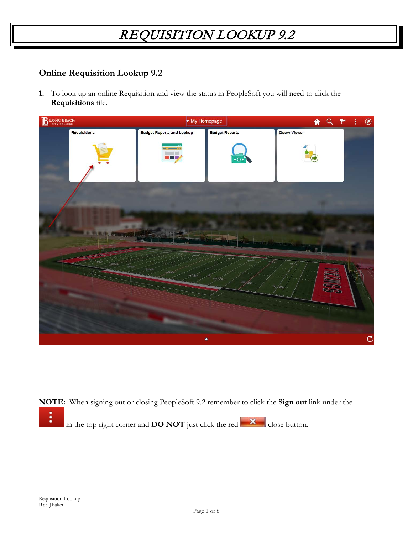#### **Online Requisition Lookup 9.2**

**1.** To look up an online Requisition and view the status in PeopleSoft you will need to click the **Requisitions** tile.



**NOTE:** When signing out or closing PeopleSoft 9.2 remember to click the **Sign out** link under the ፡ in the top right corner and **DO NOT** just click the red  $\mathbf{x}$  close button.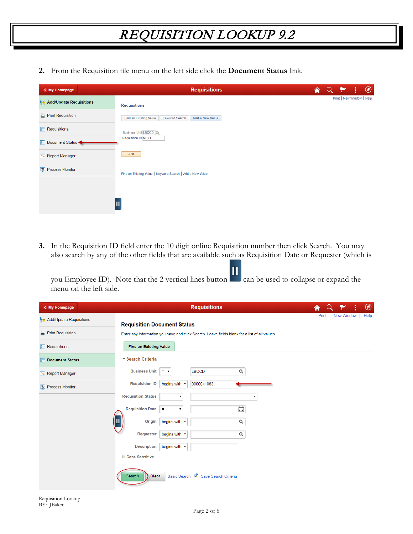**2.** From the Requisition tile menu on the left side click the **Document Status** link.

| < My Homepage                    | <b>Requisitions</b>                                                | <mark>A</mark> | $\alpha$ | $\circledcirc$<br>W       |
|----------------------------------|--------------------------------------------------------------------|----------------|----------|---------------------------|
| Add/Update Requisitions          | <b>Requisitions</b>                                                |                |          | Print   New Window   Help |
| $\blacksquare$ Print Requisition | <b>Eind an Existing Value</b><br>Keyword Search<br>Add a New Value |                |          |                           |
| $\Box$ Requisitions              | Business Unit LBCCD Q                                              |                |          |                           |
| Document Status                  | <b>Requisition ID NEXT</b>                                         |                |          |                           |
| Report Manager                   | Add                                                                |                |          |                           |
| Process Monitor                  | Find an Existing Value   Keyword Search   Add a New Value          |                |          |                           |
|                                  |                                                                    |                |          |                           |
|                                  | Ш                                                                  |                |          |                           |
|                                  |                                                                    |                |          |                           |

**3.** In the Requisition ID field enter the 10 digit online Requisition number then click Search. You may also search by any of the other fields that are available such as Requisition Date or Requester (which is

you Employee ID). Note that the 2 vertical lines button can be used to collapse or expand the menu on the left side.

| < My Homepage                     | <b>Requisitions</b>                                                                           |  |                    | $^{\circledR}$ |
|-----------------------------------|-----------------------------------------------------------------------------------------------|--|--------------------|----------------|
| <b>No Add/Update Requisitions</b> | <b>Requisition Document Status</b>                                                            |  | Print   New Window | Help           |
| <b>Print Requisition</b>          | Enter any information you have and click Search. Leave fields blank for a list of all values. |  |                    |                |
| $\Box$ Requisitions               | <b>Find an Existing Value</b>                                                                 |  |                    |                |
| <b>Document Status</b>            | ▼ Search Criteria                                                                             |  |                    |                |
| Report Manager                    | Business Unit $= -$<br><b>LBCCD</b><br>Q                                                      |  |                    |                |
| Process Monitor                   | <b>Requisition ID</b><br>0000041083<br>begins with v                                          |  |                    |                |
|                                   | <b>Requisition Status</b><br>$=$<br>$\pmb{\mathrm{v}}$                                        |  |                    |                |
|                                   | Ë<br><b>Requisition Date</b><br>$=$<br>$\overline{\mathbf{v}}$                                |  |                    |                |
|                                   | Ш<br>begins with $\sqrt{}$<br>$\alpha$<br>Origin                                              |  |                    |                |
|                                   | $\alpha$<br>Requester<br>begins with v                                                        |  |                    |                |
|                                   | <b>Description</b><br>begins with v                                                           |  |                    |                |
|                                   | Case Sensitive                                                                                |  |                    |                |
|                                   | Basic Search & Save Search Criteria<br><b>Clear</b><br><b>Search</b>                          |  |                    |                |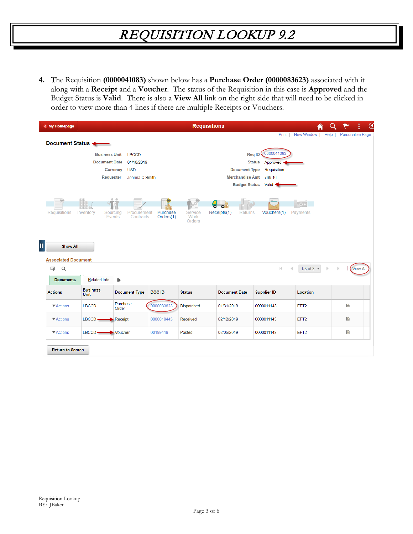**4.** The Requisition **(0000041083)** shown below has a **Purchase Order (0000083623)** associated with it along with a **Receipt** and a **Voucher**. The status of the Requisition in this case is **Approved** and the Budget Status is **Valid**. There is also a **View All** link on the right side that will need to be clicked in order to view more than 4 lines if there are multiple Receipts or Vouchers.

| < My Homepage                        |                                                                       |                                                            |                       | <b>Requisitions</b>       |                                                                        |                                                                                                |                                    | $\circlede$                     |
|--------------------------------------|-----------------------------------------------------------------------|------------------------------------------------------------|-----------------------|---------------------------|------------------------------------------------------------------------|------------------------------------------------------------------------------------------------|------------------------------------|---------------------------------|
| Document Status                      |                                                                       |                                                            |                       |                           |                                                                        | Print                                                                                          | New Window  <br>Help               | <b>Personalize Page</b>         |
|                                      | <b>Business Unit</b><br><b>Document Date</b><br>Currency<br>Requester | <b>LBCCD</b><br>01/16/2019<br><b>USD</b><br>Joanna C Smith |                       |                           | <b>Document Type</b><br><b>Merchandise Amt</b><br><b>Budget Status</b> | 0000041083<br><b>Reg ID</b><br><b>Status</b><br>Approved <<br>Requisition<br>769.16<br>Valid < |                                    |                                 |
| <b>Requisitions</b>                  | Inventory<br>Sourcing<br>Events                                       | Procurement<br>Contracts                                   | Purchase<br>Orders(1) | Service<br>Work<br>Orders | Receipts(1)<br><b>Returns</b>                                          | Vouchers(1)                                                                                    | $\sim$ 0.4<br>Payments             |                                 |
| <b>Show All</b>                      |                                                                       |                                                            |                       |                           |                                                                        |                                                                                                |                                    |                                 |
| <b>Associated Document</b><br>国<br>Q |                                                                       |                                                            |                       |                           |                                                                        | $ \cdot $                                                                                      | 1-3 of $3 \times$<br>$\mathbb{D}%$ | $\mathbb{E}$<br><b>View All</b> |
| <b>Documents</b>                     | Related Info                                                          | $\left\vert \right\vert$                                   |                       |                           |                                                                        |                                                                                                |                                    |                                 |
| <b>Actions</b>                       | <b>Business</b><br><b>Unit</b>                                        | <b>Document Type</b>                                       | DOC ID                | <b>Status</b>             | <b>Document Date</b>                                                   | <b>Supplier ID</b>                                                                             | Location                           |                                 |
| ▼ Actions                            | <b>LBCCD</b>                                                          | Purchase<br>Order                                          | 0000083623            | Dispatched                | 01/31/2019                                                             | 0000011143                                                                                     | EFT <sub>2</sub>                   | 雪                               |
| ▼ Actions                            | $LECCD$ —                                                             | $\blacktriangleright$ Receipt                              | 0000018443            | Received                  | 02/12/2019                                                             | 0000011143                                                                                     | EFT <sub>2</sub>                   | 昏                               |
| ▼ Actions                            | $LECCD$ —                                                             | $\blacktriangleright$ Voucher                              | 00199419              | Posted                    | 02/05/2019                                                             | 0000011143                                                                                     | EFT <sub>2</sub>                   | e                               |
| <b>Return to Search</b>              |                                                                       |                                                            |                       |                           |                                                                        |                                                                                                |                                    |                                 |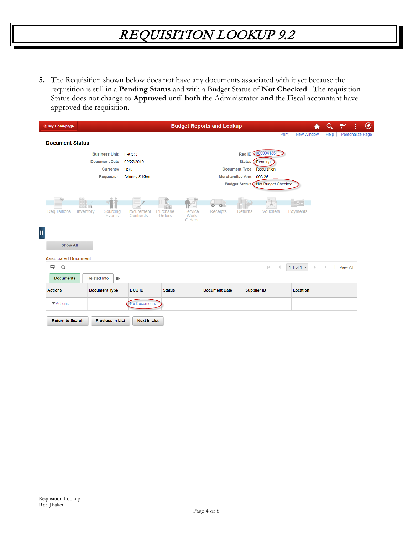**5.** The Requisition shown below does not have any documents associated with it yet because the requisition is still in a **Pending Status** and with a Budget Status of **Not Checked**. The requisition Status does not change to **Approved** until **both** the Administrator **and** the Fiscal accountant have approved the requisition.

| < My Homepage                                 |                                                          |                                          |                    |                           | <b>Budget Reports and Lookup</b>       |                                  |                                             | ⋒                               |              | ÷                |
|-----------------------------------------------|----------------------------------------------------------|------------------------------------------|--------------------|---------------------------|----------------------------------------|----------------------------------|---------------------------------------------|---------------------------------|--------------|------------------|
| <b>Document Status</b>                        |                                                          |                                          |                    |                           |                                        |                                  |                                             | Print<br>New Window             | Help         | Personalize Page |
|                                               | <b>Business Unit</b><br><b>Document Date</b><br>Currency | <b>LBCCD</b><br>02/22/2019<br><b>USD</b> |                    |                           |                                        | Status (<br><b>Document Type</b> | Req ID 0000041351<br>Pending<br>Requisition |                                 |              |                  |
|                                               | Requester                                                | <b>Brittany S Khan</b>                   |                    |                           |                                        | <b>Merchandise Amt</b>           | 903.26<br>Budget Status Not Budget Checked  |                                 |              |                  |
| <b>Requisitions</b><br>Inventory              | Sourcing<br>Events                                       | Procurement<br>Contracts                 | Purchase<br>Orders | Service<br>Work<br>Orders | $\circ$<br>$\sigma$<br><b>Receipts</b> | <b>Returns</b>                   | <b>Vouchers</b>                             | $\overline{\Omega}$<br>Payments |              |                  |
| <b>Show All</b><br><b>Associated Document</b> |                                                          |                                          |                    |                           |                                        |                                  |                                             |                                 |              |                  |
| 围<br>Q<br><b>Documents</b>                    | <b>Related Info</b><br>$\parallel$                       |                                          |                    |                           |                                        |                                  | $ \mathbf{q} $                              | 1-1 of 1 $*$<br>$\mathbb{D}%$   | $\mathbb{H}$ | <b>View All</b>  |
| <b>Actions</b>                                | <b>Document Type</b>                                     | DOC ID                                   | <b>Status</b>      |                           | <b>Document Date</b>                   |                                  | <b>Supplier ID</b>                          | Location                        |              |                  |
| $\blacktriangledown$ Actions                  |                                                          | No Documents                             |                    |                           |                                        |                                  |                                             |                                 |              |                  |
| <b>Return to Search</b>                       | <b>Previous in List</b>                                  | <b>Next in List</b>                      |                    |                           |                                        |                                  |                                             |                                 |              |                  |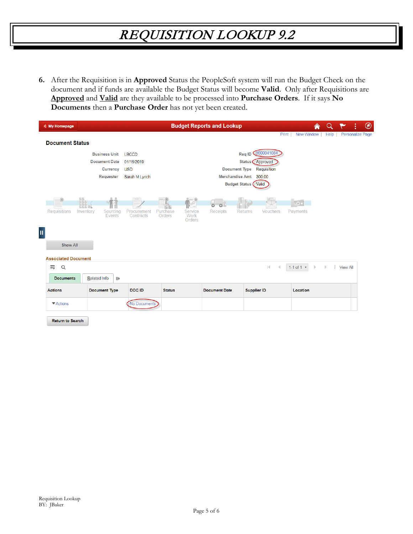**6.** After the Requisition is in **Approved** Status the PeopleSoft system will run the Budget Check on the document and if funds are available the Budget Status will become **Valid**. Only after Requisitions are **Approved** and **Valid** are they available to be processed into **Purchase Orders**. If it says **No Documents** then a **Purchase Order** has not yet been created.

| < My Homepage                              |                                                                              |                                                           |                                            | <b>Budget Reports and Lookup</b>                       |                                                                                              |                                                          | ♠                             |              |                  | $\circledcirc$<br>i |
|--------------------------------------------|------------------------------------------------------------------------------|-----------------------------------------------------------|--------------------------------------------|--------------------------------------------------------|----------------------------------------------------------------------------------------------|----------------------------------------------------------|-------------------------------|--------------|------------------|---------------------|
| <b>Document Status</b>                     |                                                                              |                                                           |                                            |                                                        |                                                                                              |                                                          | Print   New Window            | Help         | Personalize Page |                     |
|                                            | <b>Business Unit</b><br><b>Document Date</b><br>Currency<br><b>Requester</b> | <b>LBCCD</b><br>01/16/2019<br><b>USD</b><br>Sarah M Lynch |                                            |                                                        | Req ID<br>Status (<br><b>Document Type</b><br><b>Merchandise Amt</b><br><b>Budget Status</b> | 0000041084<br>Approved<br>Requisition<br>300.00<br>Valid |                               |              |                  |                     |
| $\ast$<br><b>Requisitions</b><br>Inventory |                                                                              | Procurement                                               | $\P$ $\mathbb{R}^2$<br>Service<br>Purchase | $\overline{\phantom{a}}$<br>$\circ$<br><b>Receipts</b> | <b>Returns</b>                                                                               |                                                          | Payments                      |              |                  |                     |
|                                            | Sourcing<br>Events                                                           | Contracts                                                 | Work<br>Orders<br><b>Orders</b>            |                                                        |                                                                                              | Vouchers                                                 |                               |              |                  |                     |
| <b>Show All</b>                            |                                                                              |                                                           |                                            |                                                        |                                                                                              |                                                          |                               |              |                  |                     |
| <b>Associated Document</b><br>国<br>Q       |                                                                              |                                                           |                                            |                                                        |                                                                                              | $ \cdot $                                                | 1-1 of 1 $v$<br>$\rightarrow$ | $\mathbb{E}$ | <b>View All</b>  |                     |
| <b>Documents</b>                           | <b>Related Info</b><br>$\parallel$                                           |                                                           |                                            |                                                        |                                                                                              |                                                          |                               |              |                  |                     |
| <b>Actions</b>                             | <b>Document Type</b>                                                         | DOC ID                                                    | <b>Status</b>                              | <b>Document Date</b>                                   | <b>Supplier ID</b>                                                                           |                                                          | Location                      |              |                  |                     |